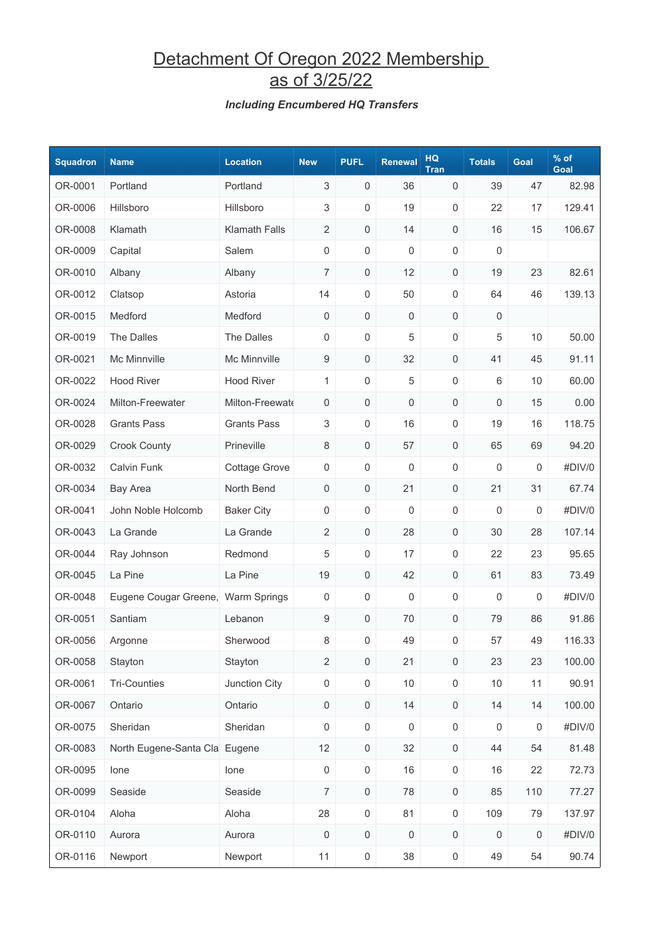## Detachment Of Oregon 2022 Membership as of 3/25/22

#### *Including Encumbered HQ Transfers*

| <b>Squadron</b> | <b>Name</b>                        | <b>Location</b>      | <b>New</b>          | <b>PUFL</b>         | <b>Renewal</b>      | <b>HQ</b><br><b>Tran</b> | <b>Totals</b>    | Goal    | $%$ of<br>Goal |
|-----------------|------------------------------------|----------------------|---------------------|---------------------|---------------------|--------------------------|------------------|---------|----------------|
| OR-0001         | Portland                           | Portland             | $\mathsf 3$         | $\mathsf 0$         | 36                  | 0                        | 39               | 47      | 82.98          |
| OR-0006         | Hillsboro                          | Hillsboro            | 3                   | $\boldsymbol{0}$    | 19                  | 0                        | 22               | 17      | 129.41         |
| OR-0008         | Klamath                            | <b>Klamath Falls</b> | $\overline{2}$      | 0                   | 14                  | 0                        | 16               | 15      | 106.67         |
| OR-0009         | Capital                            | Salem                | 0                   | $\mathsf{O}\xspace$ | 0                   | 0                        | 0                |         |                |
| OR-0010         | Albany                             | Albany               | $\overline{7}$      | $\mathsf{O}\xspace$ | 12                  | 0                        | 19               | 23      | 82.61          |
| OR-0012         | Clatsop                            | Astoria              | 14                  | 0                   | 50                  | 0                        | 64               | 46      | 139.13         |
| OR-0015         | Medford                            | Medford              | 0                   | $\mathsf{O}\xspace$ | 0                   | 0                        | $\mathbf 0$      |         |                |
| OR-0019         | The Dalles                         | The Dalles           | 0                   | $\mathsf{O}\xspace$ | 5                   | 0                        | 5                | 10      | 50.00          |
| OR-0021         | Mc Minnville                       | Mc Minnville         | 9                   | $\mathsf{O}\xspace$ | 32                  | 0                        | 41               | 45      | 91.11          |
| OR-0022         | <b>Hood River</b>                  | <b>Hood River</b>    | 1                   | $\mathsf{O}\xspace$ | 5                   | 0                        | 6                | 10      | 60.00          |
| OR-0024         | Milton-Freewater                   | Milton-Freewate      | 0                   | $\mathsf{O}\xspace$ | 0                   | 0                        | 0                | 15      | 0.00           |
| OR-0028         | <b>Grants Pass</b>                 | <b>Grants Pass</b>   | 3                   | $\mathsf{O}\xspace$ | 16                  | 0                        | 19               | 16      | 118.75         |
| OR-0029         | <b>Crook County</b>                | Prineville           | 8                   | $\mathsf{O}\xspace$ | 57                  | 0                        | 65               | 69      | 94.20          |
| OR-0032         | Calvin Funk                        | <b>Cottage Grove</b> | 0                   | $\boldsymbol{0}$    | 0                   | 0                        | 0                | 0       | #DIV/0         |
| OR-0034         | <b>Bay Area</b>                    | North Bend           | 0                   | 0                   | 21                  | 0                        | 21               | 31      | 67.74          |
| OR-0041         | John Noble Holcomb                 | <b>Baker City</b>    | 0                   | $\mathsf{O}\xspace$ | 0                   | 0                        | 0                | 0       | #DIV/0         |
| OR-0043         | La Grande                          | La Grande            | $\overline{2}$      | $\mathsf{O}\xspace$ | 28                  | 0                        | 30               | 28      | 107.14         |
| OR-0044         | Ray Johnson                        | Redmond              | 5                   | 0                   | 17                  | 0                        | 22               | 23      | 95.65          |
| OR-0045         | La Pine                            | La Pine              | 19                  | 0                   | 42                  | 0                        | 61               | 83      | 73.49          |
| OR-0048         | Eugene Cougar Greene, Warm Springs |                      | 0                   | $\mathsf{O}\xspace$ | 0                   | 0                        | 0                | 0       | #DIV/0         |
| OR-0051         | Santiam                            | Lebanon              | 9                   | 0                   | 70                  | 0                        | 79               | 86      | 91.86          |
| OR-0056         | Argonne                            | Sherwood             | 8                   | 0                   | 49                  | 0                        | 57               | 49      | 116.33         |
| OR-0058         | Stayton                            | Stayton              | $\overline{2}$      | $\mathsf{O}\xspace$ | 21                  | $\mathsf{O}\xspace$      | 23               | 23      | 100.00         |
| OR-0061         | <b>Tri-Counties</b>                | Junction City        | $\mathsf{O}\xspace$ | $\mathsf{O}\xspace$ | 10                  | $\mathsf{O}\xspace$      | $10$             | 11      | 90.91          |
| OR-0067         | Ontario                            | Ontario              | $\mathsf{O}\xspace$ | $\mathsf{O}\xspace$ | 14                  | 0                        | 14               | 14      | 100.00         |
| OR-0075         | Sheridan                           | Sheridan             | $\boldsymbol{0}$    | $\mathsf 0$         | 0                   | $\mathsf 0$              | $\boldsymbol{0}$ | 0       | #DIV/0         |
| OR-0083         | North Eugene-Santa Cla Eugene      |                      | 12                  | $\mathsf{O}\xspace$ | 32                  | $\mathsf{O}\xspace$      | 44               | 54      | 81.48          |
| OR-0095         | lone                               | lone                 | 0                   | $\mathsf{O}\xspace$ | 16                  | $\mathsf 0$              | 16               | 22      | 72.73          |
| OR-0099         | Seaside                            | Seaside              | $\overline{7}$      | $\mathsf{O}\xspace$ | 78                  | 0                        | 85               | 110     | 77.27          |
| OR-0104         | Aloha                              | Aloha                | 28                  | $\mathsf 0$         | 81                  | $\mathsf{O}\xspace$      | 109              | 79      | 137.97         |
| OR-0110         | Aurora                             | Aurora               | 0                   | $\mathsf{O}\xspace$ | $\mathsf{O}\xspace$ | $\mathsf{O}\xspace$      | $\boldsymbol{0}$ | $\,0\,$ | #DIV/0         |
| OR-0116         | Newport                            | Newport              | 11                  | $\mathsf{O}\xspace$ | 38                  | $\boldsymbol{0}$         | 49               | 54      | 90.74          |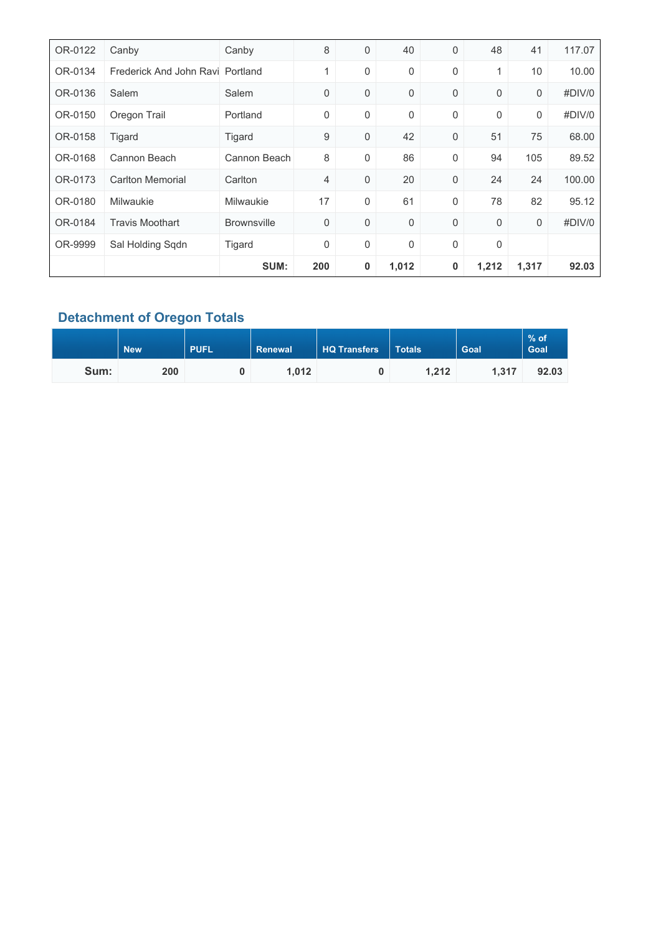| OR-0122 | Canby                            | Canby              | 8   | 0 | 40    | 0           | 48          | 41    | 117.07 |
|---------|----------------------------------|--------------------|-----|---|-------|-------------|-------------|-------|--------|
| OR-0134 | Frederick And John Ravi Portland |                    | 1   | 0 | 0     | 0           | 1           | 10    | 10.00  |
| OR-0136 | Salem                            | Salem              | 0   | 0 | 0     | $\mathbf 0$ | $\mathbf 0$ | 0     | #DIV/0 |
| OR-0150 | Oregon Trail                     | Portland           | 0   | 0 | 0     | $\mathbf 0$ | $\mathbf 0$ | 0     | #DIV/0 |
| OR-0158 | Tigard                           | Tigard             | 9   | 0 | 42    | 0           | 51          | 75    | 68.00  |
| OR-0168 | Cannon Beach                     | Cannon Beach       | 8   | 0 | 86    | 0           | 94          | 105   | 89.52  |
| OR-0173 | <b>Carlton Memorial</b>          | Carlton            | 4   | 0 | 20    | 0           | 24          | 24    | 100.00 |
| OR-0180 | Milwaukie                        | <b>Milwaukie</b>   | 17  | 0 | 61    | $\mathbf 0$ | 78          | 82    | 95.12  |
| OR-0184 | <b>Travis Moothart</b>           | <b>Brownsville</b> | 0   | 0 | 0     | $\mathbf 0$ | $\mathbf 0$ | 0     | #DIV/0 |
| OR-9999 | Sal Holding Sqdn                 | Tigard             | 0   | 0 | 0     | 0           | $\mathbf 0$ |       |        |
|         |                                  | SUM:               | 200 | 0 | 1,012 | 0           | 1,212       | 1,317 | 92.03  |

### **Detachment of Oregon Totals**

|      | <b>PUFL</b><br><b>New</b> |  | <b>HQ Transfers</b><br>Renewal |  | <b>Totals</b> | <b>Goal</b> | $%$ of<br>Goal |
|------|---------------------------|--|--------------------------------|--|---------------|-------------|----------------|
| Sum: | 200                       |  | 1,012                          |  | 1,212         | 1.317       | 92.03          |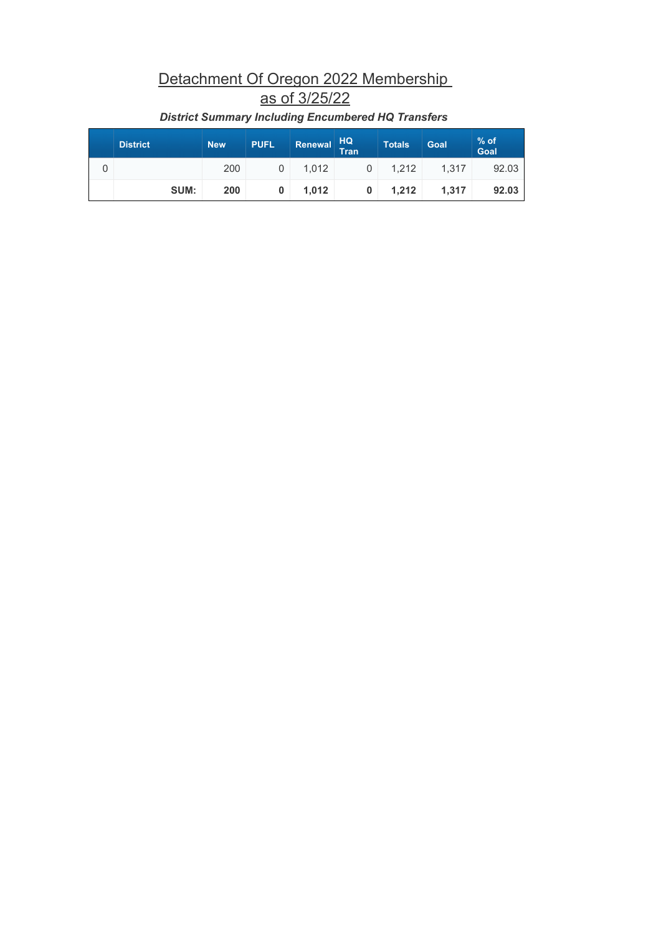# Detachment Of Oregon 2022 Membership as of 3/25/22

| <b>District</b> | <b>New</b> | <b>PUFL</b> | <b>Renewal</b> | HQ<br>Tran | <b>Totals</b> | Goal  | % of<br>Goal |
|-----------------|------------|-------------|----------------|------------|---------------|-------|--------------|
|                 | 200        | 0           | 1.012          | $\Omega$   | 1.212         | 1.317 | 92.03        |
| SUM:            | 200        | 0           | 1.012          | $\bf{0}$   | 1.212         | 1.317 | 92.03        |

### *District Summary Including Encumbered HQ Transfers*